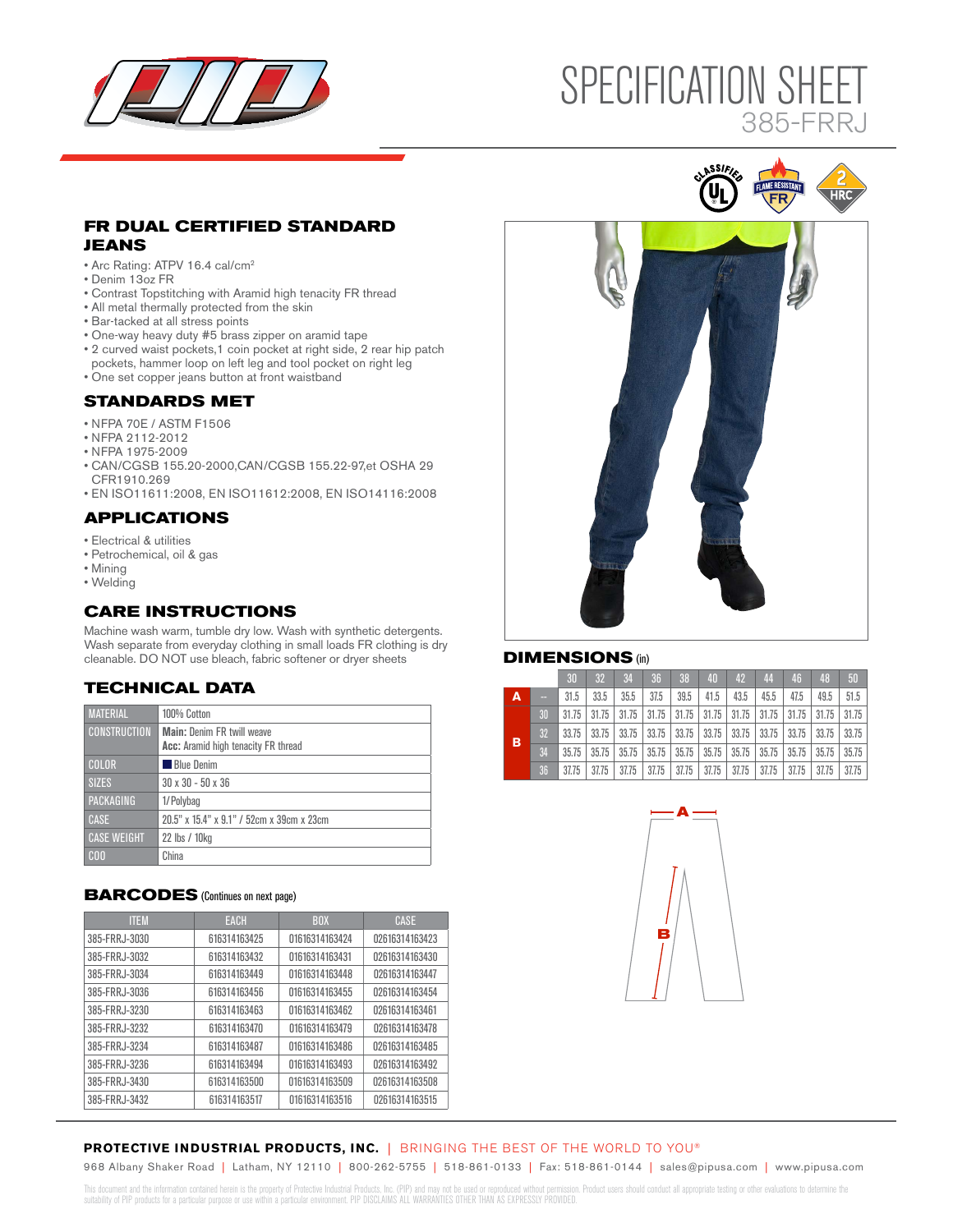

# SPECIFICATION SHEET BREAK NON-ANSI AWAY 1999 385-FRRJ

# **FR DUAL CERTIFIED STANDARD JEANS**

- Arc Rating: ATPV 16.4 cal/cm2
- Denim 13oz FR
- Contrast Topstitching with Aramid high tenacity FR thread
- All metal thermally protected from the skin
- Bar-tacked at all stress points
- One-way heavy duty #5 brass zipper on aramid tape
- 2 curved waist pockets,1 coin pocket at right side, 2 rear hip patch
- pockets, hammer loop on left leg and tool pocket on right leg
- One set copper jeans button at front waistband

#### **STANDARDS MET**

- NFPA 70E / ASTM F1506
- NFPA 2112-2012
- NFPA 1975-2009
- CAN/CGSB 155.20-2000,CAN/CGSB 155.22-97,et OSHA 29 CFR1910.269
- EN ISO11611:2008, EN ISO11612:2008, EN ISO14116:2008

# **APPLICATIONS**

- Electrical & utilities
- Petrochemical, oil & gas
- Mining
- Welding

# **CARE INSTRUCTIONS**

Machine wash warm, tumble dry low. Wash with synthetic detergents. Wash separate from everyday clothing in small loads FR clothing is dry cleanable. DO NOT use bleach, fabric softener or dryer sheets

# **TECHNICAL DATA**

| <b>MATERIAL</b>     | 100% Cotton                                                              |
|---------------------|--------------------------------------------------------------------------|
| <b>CONSTRUCTION</b> | <b>Main: Denim FR twill weave</b><br>Acc: Aramid high tenacity FR thread |
|                     |                                                                          |
| <b>COLOR</b>        | Blue Denim                                                               |
| <b>SIZES</b>        | $30 \times 30 - 50 \times 36$                                            |
| <b>PACKAGING</b>    | 1/Polybag                                                                |
| <b>CASE</b>         | 20.5" x 15.4" x 9.1" / 52cm x 39cm x 23cm                                |
| <b>CASE WEIGHT</b>  | 22 lbs / 10kg                                                            |
| C <sub>00</sub>     | China                                                                    |

#### **BARCODES** (Continues on next page)

| <b>ITEM</b>   | <b>EACH</b>  | <b>BOX</b>     | <b>CASE</b>    |
|---------------|--------------|----------------|----------------|
| 385-FRRJ-3030 | 616314163425 | 01616314163424 | 02616314163423 |
| 385-FRRJ-3032 | 616314163432 | 01616314163431 | 02616314163430 |
| 385-FRRJ-3034 | 616314163449 | 01616314163448 | 02616314163447 |
| 385-FRRJ-3036 | 616314163456 | 01616314163455 | 02616314163454 |
| 385-FRRJ-3230 | 616314163463 | 01616314163462 | 02616314163461 |
| 385-FRRJ-3232 | 616314163470 | 01616314163479 | 02616314163478 |
| 385-FRRJ-3234 | 616314163487 | 01616314163486 | 02616314163485 |
| 385-FRRJ-3236 | 616314163494 | 01616314163493 | 02616314163492 |
| 385-FRRJ-3430 | 616314163500 | 01616314163509 | 02616314163508 |
| 385-FRRJ-3432 | 616314163517 | 01616314163516 | 02616314163515 |





#### **DIMENSIONS** (in)

|                |    | 30    | 32                                                                            | 34    | 36    | 38                | 40                              | 42   | 44   | 46    | 48    | 50    |
|----------------|----|-------|-------------------------------------------------------------------------------|-------|-------|-------------------|---------------------------------|------|------|-------|-------|-------|
| $\overline{A}$ | -  | 31.5  | 33.5                                                                          | 35.5  | 37.5  | 39.5              | 41.5                            | 43.5 | 45.5 | 47.5  | 49.5  | 51.5  |
| B              | 30 | 31.75 | 31.75                                                                         | 31.75 |       | $31.75$   $31.75$ | $31.75$ $31.75$ $31.75$         |      |      | 31.75 | 31.75 | 31.75 |
|                | 32 | 33.75 | 33.75                                                                         | 33.75 |       | $33.75$   $33.75$ | $33.75$   33.75   33.75   33.75 |      |      |       | 33.75 | 33.75 |
|                | 34 | 35.75 | 35.75   35.75   35.75   35.75   35.75   35.75   35.75   35.75   35.75   35.75 |       |       |                   |                                 |      |      |       |       |       |
|                | 36 | 37.75 | 37.75                                                                         | 37.75 | 37.75 | 37.75             | $37.75$ 37.75 37.75             |      |      | 37.75 | 37.75 | 37.75 |



# **PROTECTIVE INDUSTRIAL PRODUCTS, INC.** | BRINGING THE BEST OF THE WORLD TO YOU®

968 Albany Shaker Road | Latham, NY 12110 | 800-262-5755 | 518-861-0133 | Fax: 518-861-0144 | sales@pipusa.com | www.pipusa.com

This document and the information contained herein is the property of Protective Industrial Products, Inc. (PIP) and may not be used or reproduced without permission. Product users should conduct all appropriate testing or